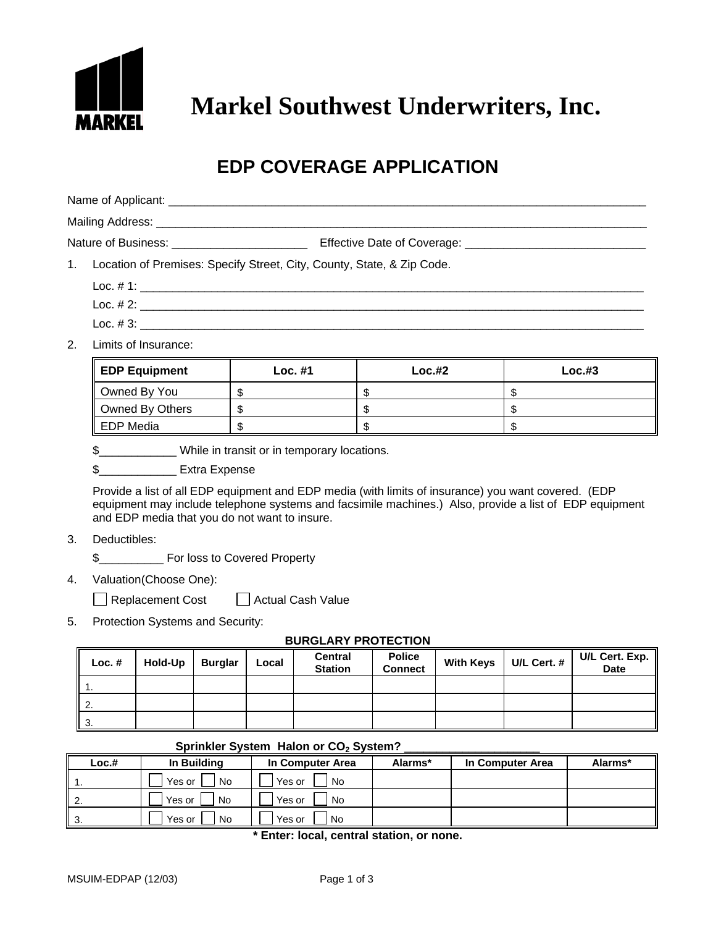

**Markel Southwest Underwriters, Inc.** 

## **EDP COVERAGE APPLICATION**

| 1. | Location of Premises: Specify Street, City, County, State, & Zip Code.                                                                                                                                                                                         |                                  |                        |         |                                                               |               |  |                          |                |
|----|----------------------------------------------------------------------------------------------------------------------------------------------------------------------------------------------------------------------------------------------------------------|----------------------------------|------------------------|---------|---------------------------------------------------------------|---------------|--|--------------------------|----------------|
|    |                                                                                                                                                                                                                                                                |                                  |                        |         |                                                               |               |  |                          |                |
|    |                                                                                                                                                                                                                                                                |                                  |                        |         | Loc. # 2:                                                     |               |  |                          |                |
|    |                                                                                                                                                                                                                                                                |                                  |                        |         |                                                               |               |  |                          |                |
| 2. |                                                                                                                                                                                                                                                                | Limits of Insurance:             |                        |         |                                                               |               |  |                          |                |
|    |                                                                                                                                                                                                                                                                | <b>EDP Equipment</b>             |                        | Loc. #1 |                                                               | Loc.#2        |  |                          | Loc.#3         |
|    |                                                                                                                                                                                                                                                                | Owned By You                     | \$                     |         | \$                                                            |               |  | \$                       |                |
|    |                                                                                                                                                                                                                                                                | Owned By Others                  | \$                     |         | \$                                                            |               |  | $\mathfrak{S}$           |                |
|    | <b>EDP Media</b>                                                                                                                                                                                                                                               |                                  | \$                     |         | \$                                                            |               |  | $\mathbb{S}$             |                |
|    |                                                                                                                                                                                                                                                                |                                  |                        |         | \$_______________ While in transit or in temporary locations. |               |  |                          |                |
|    | \$                                                                                                                                                                                                                                                             | <b>Extra Expense</b>             |                        |         |                                                               |               |  |                          |                |
|    | Provide a list of all EDP equipment and EDP media (with limits of insurance) you want covered. (EDP<br>equipment may include telephone systems and facsimile machines.) Also, provide a list of EDP equipment<br>and EDP media that you do not want to insure. |                                  |                        |         |                                                               |               |  |                          |                |
| 3. | Deductibles:                                                                                                                                                                                                                                                   |                                  |                        |         |                                                               |               |  |                          |                |
|    |                                                                                                                                                                                                                                                                |                                  |                        |         |                                                               |               |  |                          |                |
| 4. | Valuation(Choose One):                                                                                                                                                                                                                                         |                                  |                        |         |                                                               |               |  |                          |                |
|    | Replacement Cost   Actual Cash Value                                                                                                                                                                                                                           |                                  |                        |         |                                                               |               |  |                          |                |
| 5. |                                                                                                                                                                                                                                                                | Protection Systems and Security: |                        |         |                                                               |               |  |                          |                |
|    |                                                                                                                                                                                                                                                                |                                  |                        |         | <b>BURGLARY PROTECTION</b>                                    |               |  |                          |                |
|    | $In^+$                                                                                                                                                                                                                                                         |                                  | Hold-lin Rurglar Local |         | <b>Central</b>                                                | <b>Police</b> |  | With Kove   $III$ Cort # | U/L Cert. Exp. |

| $Loc.$ # | Hold-Up   Burglar | Local | <b>Central</b><br><b>Station</b> | <b>Police</b><br><b>Connect</b> | With Keys   U/L Cert. # | U/L Cert. Exp.<br><b>Date</b> |
|----------|-------------------|-------|----------------------------------|---------------------------------|-------------------------|-------------------------------|
| . .      |                   |       |                                  |                                 |                         |                               |
| 2.       |                   |       |                                  |                                 |                         |                               |
| 3.       |                   |       |                                  |                                 |                         |                               |

## Sprinkler System Halon or CO<sub>2</sub> System? \_\_\_\_\_\_\_\_\_\_\_\_\_\_\_\_

| Loc.#    | In Building         | In Computer Area    | Alarms* | In Computer Area | Alarms* |
|----------|---------------------|---------------------|---------|------------------|---------|
|          | <b>No</b><br>Yes or | <b>No</b><br>Yes or |         |                  |         |
| <u>.</u> | No<br>Yes or        | <b>No</b><br>Yes or |         |                  |         |
| o.       | No<br>Yes or        | <b>No</b><br>Yes or |         |                  |         |

**\* Enter: local, central station, or none.**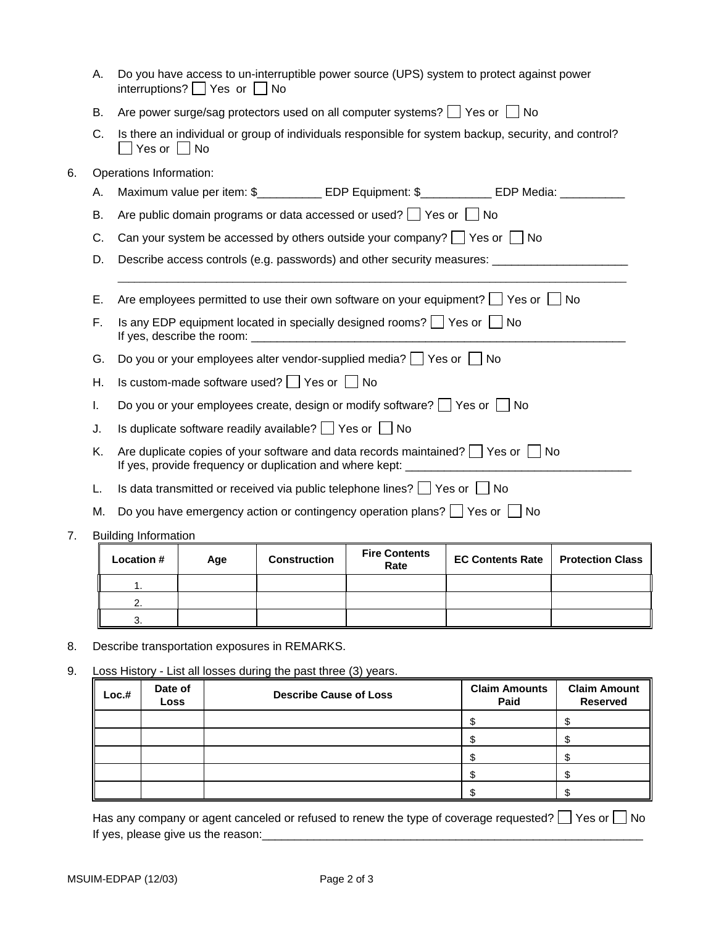|                                                                                     |                                                                                                    | <b>Location#</b>                                                                                                                                           | Age                                                                       | <b>Construction</b>                                              | <b>Fire Contents</b><br>Rate                                                        | <b>EC Contents Rate</b>                                                                              | <b>Protection Cla</b> |  |  |
|-------------------------------------------------------------------------------------|----------------------------------------------------------------------------------------------------|------------------------------------------------------------------------------------------------------------------------------------------------------------|---------------------------------------------------------------------------|------------------------------------------------------------------|-------------------------------------------------------------------------------------|------------------------------------------------------------------------------------------------------|-----------------------|--|--|
| 7.                                                                                  |                                                                                                    | <b>Building Information</b>                                                                                                                                |                                                                           |                                                                  |                                                                                     |                                                                                                      |                       |  |  |
|                                                                                     | M.                                                                                                 | Do you have emergency action or contingency operation plans? $\Box$ Yes or $\Box$ No                                                                       |                                                                           |                                                                  |                                                                                     |                                                                                                      |                       |  |  |
|                                                                                     | L.                                                                                                 |                                                                                                                                                            | Is data transmitted or received via public telephone lines?   Yes or   No |                                                                  |                                                                                     |                                                                                                      |                       |  |  |
|                                                                                     | Κ.                                                                                                 | Are duplicate copies of your software and data records maintained? $\Box$ Yes or $\Box$ No<br>If yes, provide frequency or duplication and where kept: ___ |                                                                           |                                                                  |                                                                                     |                                                                                                      |                       |  |  |
|                                                                                     | J.                                                                                                 |                                                                                                                                                            |                                                                           | Is duplicate software readily available? $\Box$ Yes or $\Box$ No |                                                                                     |                                                                                                      |                       |  |  |
|                                                                                     | I.                                                                                                 |                                                                                                                                                            |                                                                           |                                                                  | Do you or your employees create, design or modify software?   Yes or   No           |                                                                                                      |                       |  |  |
|                                                                                     | Η.                                                                                                 |                                                                                                                                                            |                                                                           | Is custom-made software used? $\Box$ Yes or $\Box$ No            |                                                                                     |                                                                                                      |                       |  |  |
|                                                                                     | G.                                                                                                 |                                                                                                                                                            |                                                                           |                                                                  | Do you or your employees alter vendor-supplied media? $\Box$ Yes or $\Box$ No       |                                                                                                      |                       |  |  |
|                                                                                     | F.                                                                                                 | Is any EDP equipment located in specially designed rooms?   Yes or   No                                                                                    |                                                                           |                                                                  |                                                                                     |                                                                                                      |                       |  |  |
|                                                                                     | Are employees permitted to use their own software on your equipment? $\Box$ Yes or $\Box$ No<br>Ε. |                                                                                                                                                            |                                                                           |                                                                  |                                                                                     |                                                                                                      |                       |  |  |
|                                                                                     | D.                                                                                                 |                                                                                                                                                            |                                                                           |                                                                  |                                                                                     | Describe access controls (e.g. passwords) and other security measures: _______________               |                       |  |  |
|                                                                                     | C.                                                                                                 |                                                                                                                                                            |                                                                           |                                                                  | Can your system be accessed by others outside your company? $\Box$ Yes or $\Box$ No |                                                                                                      |                       |  |  |
|                                                                                     | В.                                                                                                 |                                                                                                                                                            |                                                                           |                                                                  | Are public domain programs or data accessed or used? $\Box$ Yes or $\Box$ No        |                                                                                                      |                       |  |  |
|                                                                                     | А.                                                                                                 |                                                                                                                                                            |                                                                           |                                                                  |                                                                                     | Maximum value per item: \$___________ EDP Equipment: \$___________ EDP Media: ________               |                       |  |  |
| 6.<br>Operations Information:                                                       |                                                                                                    |                                                                                                                                                            |                                                                           |                                                                  |                                                                                     |                                                                                                      |                       |  |  |
|                                                                                     | C.                                                                                                 | Yes or No                                                                                                                                                  |                                                                           |                                                                  |                                                                                     | Is there an individual or group of individuals responsible for system backup, security, and control? |                       |  |  |
| Are power surge/sag protectors used on all computer systems? Set or Set on No<br>В. |                                                                                                    |                                                                                                                                                            |                                                                           |                                                                  |                                                                                     |                                                                                                      |                       |  |  |
|                                                                                     | А.                                                                                                 | Do you have access to un-interruptible power source (UPS) system to protect against power<br>interruptions? $\Box$ Yes or $\Box$ No                        |                                                                           |                                                                  |                                                                                     |                                                                                                      |                       |  |  |
|                                                                                     |                                                                                                    |                                                                                                                                                            |                                                                           |                                                                  |                                                                                     |                                                                                                      |                       |  |  |

| Location # | Age | <b>Construction</b> | <b>Fire Contents</b><br>Rate | <b>EC Contents Rate</b> | <b>Protection Class</b> |
|------------|-----|---------------------|------------------------------|-------------------------|-------------------------|
|            |     |                     |                              |                         |                         |
|            |     |                     |                              |                         |                         |
|            |     |                     |                              |                         |                         |

8. Describe transportation exposures in REMARKS.

## 9. Loss History - List all losses during the past three (3) years.

| Loc.# | Date of<br>Loss | <b>Describe Cause of Loss</b> | <b>Claim Amounts</b><br>Paid | <b>Claim Amount</b><br><b>Reserved</b> |
|-------|-----------------|-------------------------------|------------------------------|----------------------------------------|
|       |                 |                               |                              |                                        |
|       |                 |                               |                              |                                        |
|       |                 |                               |                              |                                        |
|       |                 |                               |                              |                                        |
|       |                 |                               |                              |                                        |

Has any company or agent canceled or refused to renew the type of coverage requested?  $\Box$  Yes or  $\Box$  No If yes, please give us the reason: